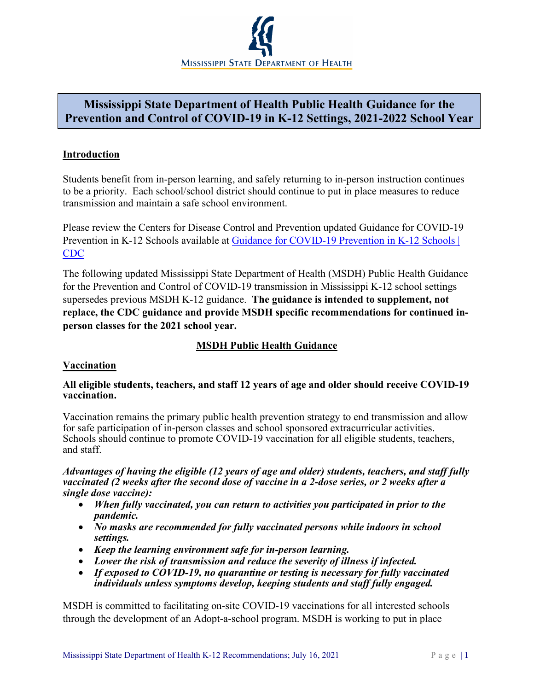

# **Mississippi State Department of Health Public Health Guidance for the Prevention and Control of COVID-19 in K-12 Settings, 2021-2022 School Year**

#### **Introduction**

Students benefit from in-person learning, and safely returning to in-person instruction continues to be a priority. Each school/school district should continue to put in place measures to reduce transmission and maintain a safe school environment.

Please review the Centers for Disease Control and Prevention updated Guidance for COVID-19 Prevention in K-12 Schools available at Guidance for COVID-19 Prevention in K-12 Schools | [CDC](https://www.cdc.gov/coronavirus/2019-ncov/community/schools-childcare/k-12-guidance.html)

The following updated Mississippi State Department of Health (MSDH) Public Health Guidance for the Prevention and Control of COVID-19 transmission in Mississippi K-12 school settings supersedes previous MSDH K-12 guidance. **The guidance is intended to supplement, not replace, the CDC guidance and provide MSDH specific recommendations for continued inperson classes for the 2021 school year.**

## **MSDH Public Health Guidance**

#### **Vaccination**

#### **All eligible students, teachers, and staff 12 years of age and older should receive COVID-19 vaccination.**

Vaccination remains the primary public health prevention strategy to end transmission and allow for safe participation of in-person classes and school sponsored extracurricular activities. Schools should continue to promote COVID-19 vaccination for all eligible students, teachers, and staff.

#### *Advantages of having the eligible (12 years of age and older) students, teachers, and staff fully vaccinated (2 weeks after the second dose of vaccine in a 2-dose series, or 2 weeks after a single dose vaccine):*

- *When fully vaccinated, you can return to activities you participated in prior to the pandemic.*
- *No masks are recommended for fully vaccinated persons while indoors in school settings.*
- *Keep the learning environment safe for in-person learning.*
- *Lower the risk of transmission and reduce the severity of illness if infected.*
- *If exposed to COVID-19, no quarantine or testing is necessary for fully vaccinated individuals unless symptoms develop, keeping students and staff fully engaged.*

MSDH is committed to facilitating on-site COVID-19 vaccinations for all interested schools through the development of an Adopt-a-school program. MSDH is working to put in place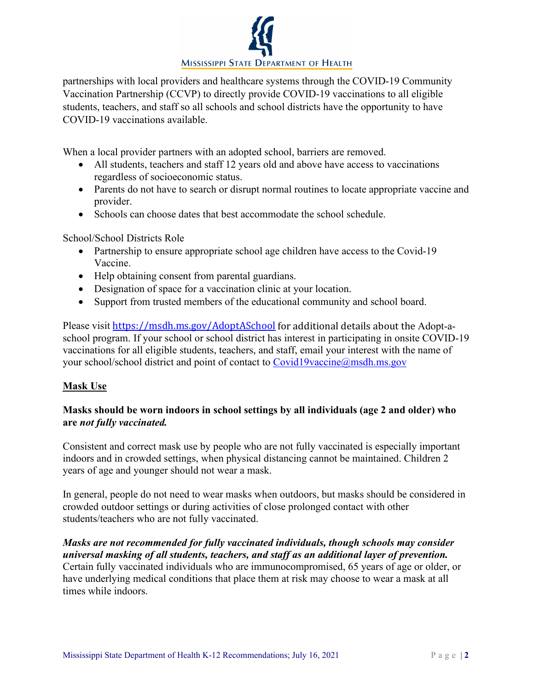

partnerships with local providers and healthcare systems through the COVID-19 Community Vaccination Partnership (CCVP) to directly provide COVID-19 vaccinations to all eligible students, teachers, and staff so all schools and school districts have the opportunity to have COVID-19 vaccinations available.

When a local provider partners with an adopted school, barriers are removed.

- All students, teachers and staff 12 years old and above have access to vaccinations regardless of socioeconomic status.
- Parents do not have to search or disrupt normal routines to locate appropriate vaccine and provider.
- Schools can choose dates that best accommodate the school schedule.

School/School Districts Role

- Partnership to ensure appropriate school age children have access to the Covid-19 Vaccine.
- Help obtaining consent from parental guardians.
- Designation of space for a vaccination clinic at your location.
- Support from trusted members of the educational community and school board.

Please visit [https://msdh.ms.gov/AdoptASchool](https://gcc02.safelinks.protection.outlook.com/?url=https%3A%2F%2Fmsdh.ms.gov%2FAdoptASchool&data=04%7C01%7CPaul.Byers%40msdh.ms.gov%7Ca1005fcc5b404797a7a008d947cee889%7C559042dc8bf04d869fc0fbf4c7503c79%7C0%7C0%7C637619776254684313%7CUnknown%7CTWFpbGZsb3d8eyJWIjoiMC4wLjAwMDAiLCJQIjoiV2luMzIiLCJBTiI6Ik1haWwiLCJXVCI6Mn0%3D%7C1000&sdata=GCjweAfQtEJq1vn%2B%2Bkjevqk7fqM9Lco1b87KedLXcH8%3D&reserved=0) for additional details about the Adopt-aschool program. If your school or school district has interest in participating in onsite COVID-19 vaccinations for all eligible students, teachers, and staff, email your interest with the name of your school/school district and point of contact to [Covid19vaccine@msdh.ms.gov](mailto:Covid19vaccine@msdh.ms.gov)

#### **Mask Use**

## **Masks should be worn indoors in school settings by all individuals (age 2 and older) who are** *not fully vaccinated.*

Consistent and correct mask use by people who are not fully vaccinated is especially important indoors and in crowded settings, when physical distancing cannot be maintained. Children 2 years of age and younger should not wear a mask.

In general, people do not need to wear masks when outdoors, but masks should be considered in crowded outdoor settings or during activities of close prolonged contact with other students/teachers who are not fully vaccinated.

*Masks are not recommended for fully vaccinated individuals, though schools may consider universal masking of all students, teachers, and staff as an additional layer of prevention.* Certain fully vaccinated individuals who are immunocompromised, 65 years of age or older, or have underlying medical conditions that place them at risk may choose to wear a mask at all times while indoors.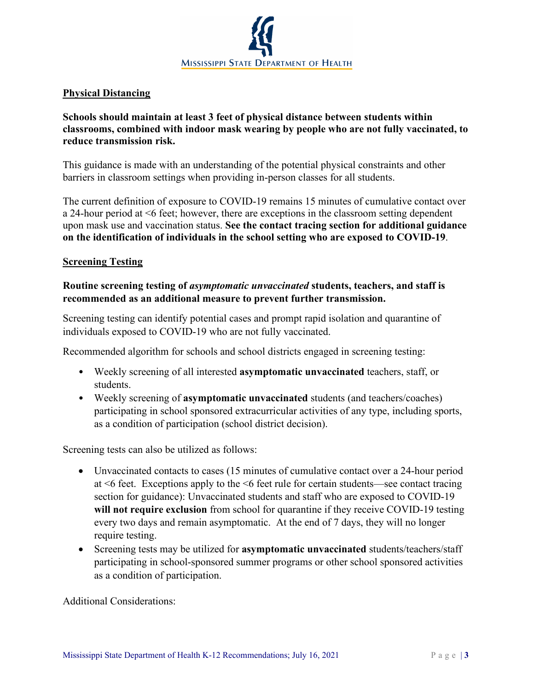

## **Physical Distancing**

## **Schools should maintain at least 3 feet of physical distance between students within classrooms, combined with indoor mask wearing by people who are not fully vaccinated, to reduce transmission risk.**

This guidance is made with an understanding of the potential physical constraints and other barriers in classroom settings when providing in-person classes for all students.

The current definition of exposure to COVID-19 remains 15 minutes of cumulative contact over a 24-hour period at <6 feet; however, there are exceptions in the classroom setting dependent upon mask use and vaccination status. **See the contact tracing section for additional guidance on the identification of individuals in the school setting who are exposed to COVID-19**.

#### **Screening Testing**

#### **Routine screening testing of** *asymptomatic unvaccinated* **students, teachers, and staff is recommended as an additional measure to prevent further transmission.**

Screening testing can identify potential cases and prompt rapid isolation and quarantine of individuals exposed to COVID-19 who are not fully vaccinated.

Recommended algorithm for schools and school districts engaged in screening testing:

- Weekly screening of all interested **asymptomatic unvaccinated** teachers, staff, or students.
- Weekly screening of **asymptomatic unvaccinated** students (and teachers/coaches) participating in school sponsored extracurricular activities of any type, including sports, as a condition of participation (school district decision).

Screening tests can also be utilized as follows:

- Unvaccinated contacts to cases (15 minutes of cumulative contact over a 24-hour period at <6 feet. Exceptions apply to the <6 feet rule for certain students—see contact tracing section for guidance): Unvaccinated students and staff who are exposed to COVID-19 **will not require exclusion** from school for quarantine if they receive COVID-19 testing every two days and remain asymptomatic. At the end of 7 days, they will no longer require testing.
- Screening tests may be utilized for **asymptomatic unvaccinated** students/teachers/staff participating in school-sponsored summer programs or other school sponsored activities as a condition of participation.

Additional Considerations: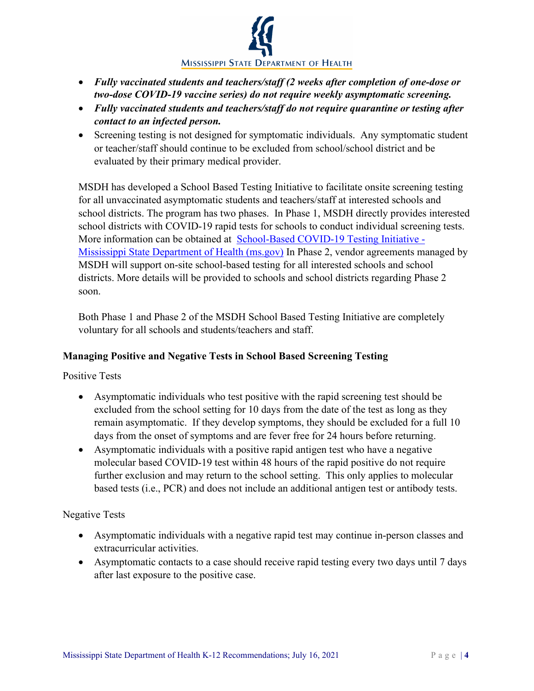

- *Fully vaccinated students and teachers/staff (2 weeks after completion of one-dose or two-dose COVID-19 vaccine series) do not require weekly asymptomatic screening.*
- *Fully vaccinated students and teachers/staff do not require quarantine or testing after contact to an infected person.*
- Screening testing is not designed for symptomatic individuals. Any symptomatic student or teacher/staff should continue to be excluded from school/school district and be evaluated by their primary medical provider.

MSDH has developed a School Based Testing Initiative to facilitate onsite screening testing for all unvaccinated asymptomatic students and teachers/staff at interested schools and school districts. The program has two phases. In Phase 1, MSDH directly provides interested school districts with COVID-19 rapid tests for schools to conduct individual screening tests. More information can be obtained at [School-Based COVID-19 Testing Initiative -](https://www.msdh.ms.gov/msdhsite/_static/14,23262,420,874.html) [Mississippi State Department of Health \(ms.gov\)](https://www.msdh.ms.gov/msdhsite/_static/14,23262,420,874.html) In Phase 2, vendor agreements managed by MSDH will support on-site school-based testing for all interested schools and school districts. More details will be provided to schools and school districts regarding Phase 2 soon.

Both Phase 1 and Phase 2 of the MSDH School Based Testing Initiative are completely voluntary for all schools and students/teachers and staff.

# **Managing Positive and Negative Tests in School Based Screening Testing**

Positive Tests

- Asymptomatic individuals who test positive with the rapid screening test should be excluded from the school setting for 10 days from the date of the test as long as they remain asymptomatic. If they develop symptoms, they should be excluded for a full 10 days from the onset of symptoms and are fever free for 24 hours before returning.
- Asymptomatic individuals with a positive rapid antigen test who have a negative molecular based COVID-19 test within 48 hours of the rapid positive do not require further exclusion and may return to the school setting. This only applies to molecular based tests (i.e., PCR) and does not include an additional antigen test or antibody tests.

# Negative Tests

- Asymptomatic individuals with a negative rapid test may continue in-person classes and extracurricular activities.
- Asymptomatic contacts to a case should receive rapid testing every two days until 7 days after last exposure to the positive case.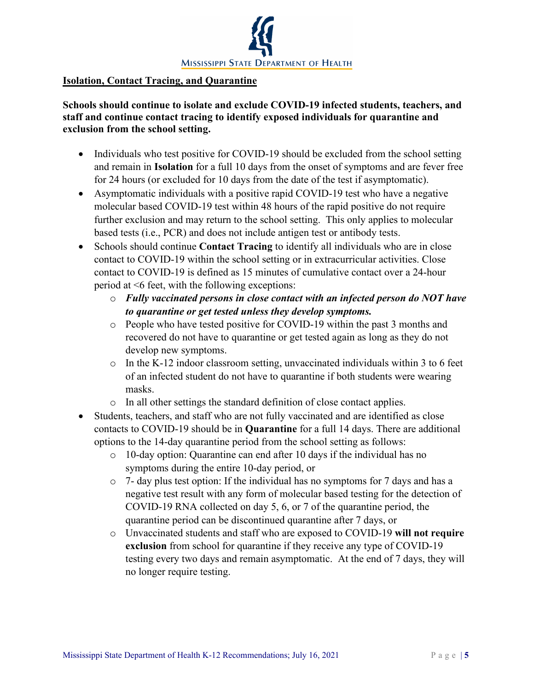

#### **Isolation, Contact Tracing, and Quarantine**

## **Schools should continue to isolate and exclude COVID-19 infected students, teachers, and staff and continue contact tracing to identify exposed individuals for quarantine and exclusion from the school setting.**

- Individuals who test positive for COVID-19 should be excluded from the school setting and remain in **Isolation** for a full 10 days from the onset of symptoms and are fever free for 24 hours (or excluded for 10 days from the date of the test if asymptomatic).
- Asymptomatic individuals with a positive rapid COVID-19 test who have a negative molecular based COVID-19 test within 48 hours of the rapid positive do not require further exclusion and may return to the school setting. This only applies to molecular based tests (i.e., PCR) and does not include antigen test or antibody tests.
- Schools should continue **Contact Tracing** to identify all individuals who are in close contact to COVID-19 within the school setting or in extracurricular activities. Close contact to COVID-19 is defined as 15 minutes of cumulative contact over a 24-hour period at <6 feet, with the following exceptions:
	- o *Fully vaccinated persons in close contact with an infected person do NOT have to quarantine or get tested unless they develop symptoms.*
	- o People who have tested positive for COVID-19 within the past 3 months and recovered do not have to quarantine or get tested again as long as they do not develop new symptoms.
	- $\circ$  In the K-12 indoor classroom setting, unvaccinated individuals within 3 to 6 feet of an infected student do not have to quarantine if both students were wearing masks.
	- o In all other settings the standard definition of close contact applies.
- Students, teachers, and staff who are not fully vaccinated and are identified as close contacts to COVID-19 should be in **Quarantine** for a full 14 days. There are additional options to the 14-day quarantine period from the school setting as follows:
	- o 10-day option: Quarantine can end after 10 days if the individual has no symptoms during the entire 10-day period, or
	- $\circ$  7- day plus test option: If the individual has no symptoms for 7 days and has a negative test result with any form of molecular based testing for the detection of COVID-19 RNA collected on day 5, 6, or 7 of the quarantine period, the quarantine period can be discontinued quarantine after 7 days, or
	- o Unvaccinated students and staff who are exposed to COVID-19 **will not require exclusion** from school for quarantine if they receive any type of COVID-19 testing every two days and remain asymptomatic. At the end of 7 days, they will no longer require testing.